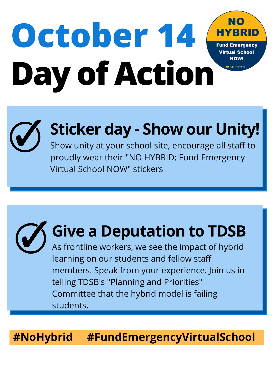# **October 14 Day of Action**



**Fund Emergency Virtual School NOW!** 

**OSSTF Toronto** 

### **Sticker day - Show our Unity!**

Show unity at your school site, encourage all staff to proudly wear their "NO HYBRID: Fund Emergency Virtual School NOW" stickers

# **Give a Deputation to TDSB**

As frontline workers, we see the impact of hybrid learning on our students and fellow staff members. Speak from your experience. Join us in telling TDSB's "Planning and Priorities" Committee that the hybrid model is failing students.

#### **#NoHybrid #FundEmergencyVirtualSchool**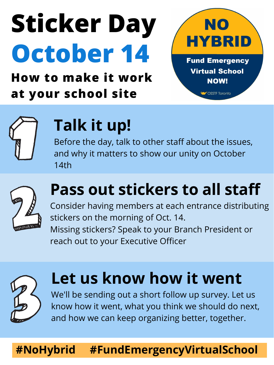# **Sticker Day October 14 How to make it work at your school site**



**Fund Emergency Virtual School NOW!** 

CSSTF Toronto



### **Talk it up!**

Before the day, talk to other staff about the issues, and why it matters to show our unity on October 14th

#### **Pass out stickers to all staff**



Consider having members at each entrance distributing stickers on the morning of Oct. 14. Missing stickers? Speak to your Branch President or reach out to your Executive Officer



# **Let us know how it went**

We'll be sending out a short follow up survey. Let us know how it went, what you think we should do next, and how we can keep organizing better, together.

#### **#NoHybrid #FundEmergencyVirtualSchool**